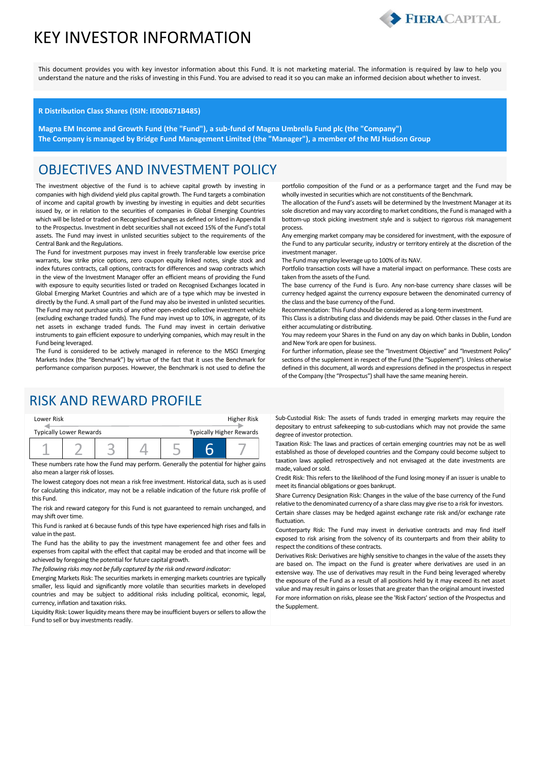## KEY INVESTOR INFORMATION



This document provides you with key investor information about this Fund. It is not marketing material. The information is required by law to help you understand the nature and the risks of investing in this Fund. You are advised to read it so you can make an informed decision about whether to invest.

#### **R Distribution Class Shares (ISIN: IE00B671B485)**

**Magna EM Income and Growth Fund (the "Fund"), a sub-fund of Magna Umbrella Fund plc (the "Company") The Company is managed by Bridge Fund Management Limited (the "Manager"), a member of the MJ Hudson Group**

#### OBJECTIVES AND INVESTMENT POLICY

The investment objective of the Fund is to achieve capital growth by investing in companies with high dividend yield plus capital growth. The Fund targets a combination of income and capital growth by investing by investing in equities and debt securities issued by, or in relation to the securities of companies in Global Emerging Countries which will be listed or traded on Recognised Exchanges as defined or listed in Appendix II to the Prospectus. Investment in debt securities shall not exceed 15% of the Fund's total assets. The Fund may invest in unlisted securities subject to the requirements of the Central Bank and the Regulations.

The Fund for investment purposes may invest in freely transferable low exercise price warrants, low strike price options, zero coupon equity linked notes, single stock and index futures contracts, call options, contracts for differences and swap contracts which in the view of the Investment Manager offer an efficient means of providing the Fund with exposure to equity securities listed or traded on Recognised Exchanges located in Global Emerging Market Countries and which are of a type which may be invested in directly by the Fund. A small part of the Fund may also be invested in unlisted securities. The Fund may not purchase units of any other open-ended collective investment vehicle (excluding exchange traded funds). The Fund may invest up to 10%, in aggregate, of its net assets in exchange traded funds. The Fund may invest in certain derivative instruments to gain efficient exposure to underlying companies, which may result in the Fund being leveraged.

The Fund is considered to be actively managed in reference to the MSCI Emerging Markets Index (the "Benchmark") by virtue of the fact that it uses the Benchmark for performance comparison purposes. However, the Benchmark is not used to define the

#### RISK AND REWARD PROFILE

| Lower Risk                     |  |  |  |  |  | Higher Risk                     |
|--------------------------------|--|--|--|--|--|---------------------------------|
| <b>Typically Lower Rewards</b> |  |  |  |  |  | <b>Typically Higher Rewards</b> |
|                                |  |  |  |  |  |                                 |

These numbers rate how the Fund may perform. Generally the potential for higher gains also mean a larger risk of losses.

The lowest category does not mean a risk free investment. Historical data, such as is used for calculating this indicator, may not be a reliable indication of the future risk profile of this Fund.

The risk and reward category for this Fund is not guaranteed to remain unchanged, and may shift over time.

This Fund is ranked at 6 because funds of this type have experienced high rises and falls in value in the past.

The Fund has the ability to pay the investment management fee and other fees and expenses from capital with the effect that capital may be eroded and that income will be achieved by foregoing the potential for future capital growth.

*The following risks may not be fully captured by the risk and reward indicator:*

Emerging Markets Risk: The securities markets in emerging markets countries are typically smaller, less liquid and significantly more volatile than securities markets in developed countries and may be subject to additional risks including political, economic, legal, currency, inflation and taxation risks.

Liquidity Risk: Lower liquidity means there may be insufficient buyers or sellers to allow the Fund to sell or buy investments readily.

portfolio composition of the Fund or as a performance target and the Fund may be wholly invested in securities which are not constituents of the Benchmark.

The allocation of the Fund's assets will be determined by the Investment Manager at its sole discretion and may vary according to market conditions, the Fund is managed with a bottom-up stock picking investment style and is subject to rigorous risk management process.

Any emerging market company may be considered for investment, with the exposure of the Fund to any particular security, industry or territory entirely at the discretion of the investment manager.

The Fund may employ leverage up to 100% of its NAV.

Portfolio transaction costs will have a material impact on performance. These costs are taken from the assets of the Fund.

The base currency of the Fund is Euro. Any non-base currency share classes will be currency hedged against the currency exposure between the denominated currency of the class and the base currency of the Fund.

Recommendation: This Fund should be considered as a long-term investment.

This Class is a distributing class and dividends may be paid. Other classes in the Fund are either accumulating or distributing.

You may redeem your Shares in the Fund on any day on which banks in Dublin, London and New York are open for business.

For further information, please see the "Investment Objective" and "Investment Policy" sections of the supplement in respect of the Fund (the "Supplement"). Unless otherwise defined in this document, all words and expressions defined in the prospectus in respect of the Company (the "Prospectus") shall have the same meaning herein.

Sub-Custodial Risk: The assets of funds traded in emerging markets may require the depositary to entrust safekeeping to sub-custodians which may not provide the same degree of investor protection.

Taxation Risk: The laws and practices of certain emerging countries may not be as well established as those of developed countries and the Company could become subject to taxation laws applied retrospectively and not envisaged at the date investments are made, valued or sold.

Credit Risk: This refers to the likelihood of the Fund losing money if an issuer is unable to meet its financial obligations or goes bankrupt.

Share Currency Designation Risk: Changes in the value of the base currency of the Fund relative to the denominated currency of a share class may give rise to a risk for investors.

Certain share classes may be hedged against exchange rate risk and/or exchange rate fluctuation.

Counterparty Risk: The Fund may invest in derivative contracts and may find itself exposed to risk arising from the solvency of its counterparts and from their ability to respect the conditions of these contracts.

Derivatives Risk: Derivatives are highly sensitive to changes in the value of the assets they are based on. The impact on the Fund is greater where derivatives are used in an extensive way. The use of derivatives may result in the Fund being leveraged whereby the exposure of the Fund as a result of all positions held by it may exceed its net asset value and may result in gains or losses that are greater than the original amount invested For more information on risks, please see the 'Risk Factors' section of the Prospectus and the Supplement.